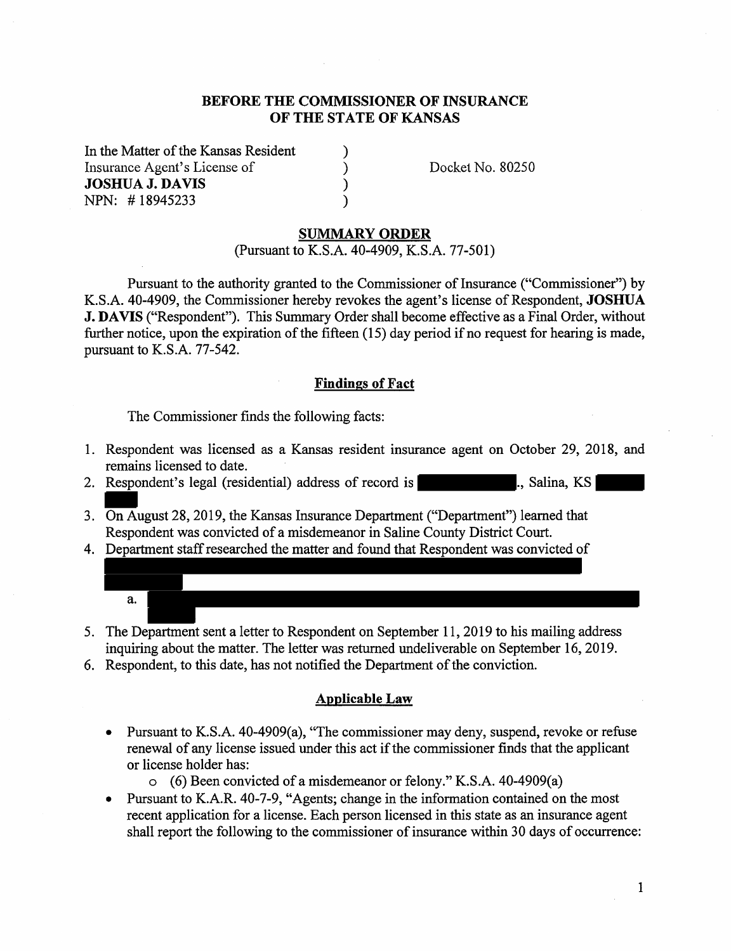#### **BEFORE THE COMMISSIONER OF INSURANCE OF THE STATE OF KANSAS**

) ) ) )

In the Matter of the Kansas Resident Insurance Agent's License of **JOSHUA J. DA VIS**  NPN: # 18945233

Docket No. 80250

#### **SUMMARY ORDER**

(Pursuant to K.S.A. 40-4909, K.S.A. 77-501)

Pursuant to the authority granted to the Commissioner of Insurance ("Commissioner") by K.S.A. 40-4909, the Commissioner hereby revokes the agent's license of Respondent, **JOSHUA J. DA VIS** ("Respondent"). This Summary Order shall become effective as a Final Order, without further notice, upon the expiration of the fifteen (15) day period if no request for hearing is made, pursuant to K.S.A. 77-542.

#### **Findings of Fact**

The Commissioner finds the following facts:

- 1. Respondent was licensed as a Kansas resident insurance agent on October 29, 2018, and remains licensed to date.
- 2. Respondent's legal (residential) address of record is ..., Salina, KS
- 3. On August 28, 2019, the Kansas Insurance Department ("Department") learned that Respondent was convicted of a misdemeanor in Saline County District Court.
- 4. Department staff researched the matter and found that Respondent was convicted of



- 5. The Department sent a letter to Respondent on September 11, 2019 to his mailing address inquiring about the matter. The letter was returned undeliverable on September 16, 2019.
- 6. Respondent, to this date, has not notified the Department of the conviction.

#### **Applicable Law**

- Pursuant to K.S.A. 40-4909(a), "The commissioner may deny, suspend, revoke or refuse renewal of any license issued under this act if the commissioner finds that the applicant or license holder has:
	- o (6) Been convicted of a misdemeanor or felony." K.S.A. 40-4909(a)
- Pursuant to K.A.R. 40-7-9, "Agents; change in the information contained on the most recent application for a license. Each person licensed in this state as an insurance agent shall report the following to the commissioner of insurance within 30 days of occurrence: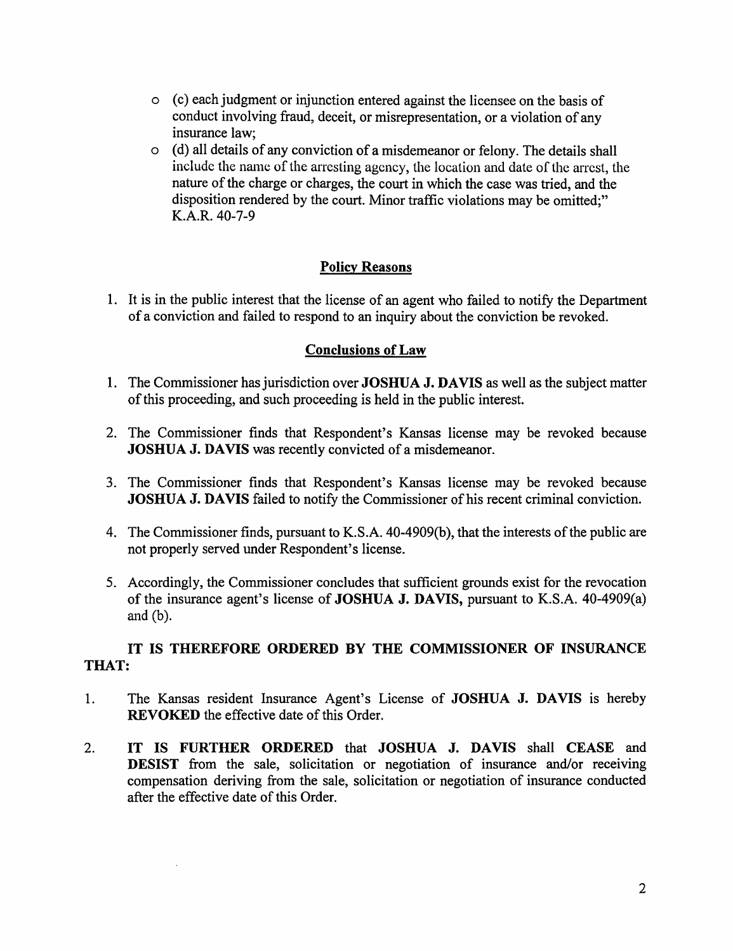- o ( c) each judgment or injunction entered against the licensee on the basis of conduct involving fraud, deceit, or misrepresentation, or a violation of any insurance law;
- o ( d) all details of any conviction of a misdemeanor or felony. The details shall include the name of the arresting agency, the location and date of the arrest, the nature of the charge or charges, the court in which the case was tried, and the disposition rendered by the court. Minor traffic violations may be omitted;" K.A.R. 40-7-9

## **Policy Reasons**

1. It is in the public interest that the license of an agent who failed to notify the Department of a conviction and failed to respond to an inquiry about the conviction be revoked.

### **Conclusions of Law**

- 1. The Commissioner has jurisdiction over **JOSHUA J. DA VIS** as well as the subject matter of this proceeding, and such proceeding is held in the public interest.
- 2. The Commissioner finds that Respondent's Kansas license may be revoked because **JOSHUA J. DAVIS** was recently convicted of a misdemeanor.
- 3. The Commissioner finds that Respondent's Kansas license may be revoked because **JOSHUA J. DAVIS** failed to notify the Commissioner of his recent criminal conviction.
- 4. The Commissioner finds, pursuant to K.S.A. 40-4909(b), that the interests of the public are not properly served under Respondent's license.
- 5. Accordingly, the Commissioner concludes that sufficient grounds exist for the revocation of the insurance agent's license of **JOSHUA J. DA VIS,** pursuant to K.S.A. 40-4909(a) and (b).

### **IT IS THEREFORE ORDERED BY THE COMMISSIONER OF INSURANCE THAT:**

- 1. The Kansas resident Insurance Agent's License of **JOSHUA J. DAVIS** is hereby **REVOKED** the effective date of this Order.
- 2. **IT IS FURTHER ORDERED** that **JOSHUA J. DAVIS** shall **CEASE** and **DESIST** from the sale, solicitation or negotiation of insurance and/or receiving compensation deriving from the sale, solicitation or negotiation of insurance conducted after the effective date of this Order.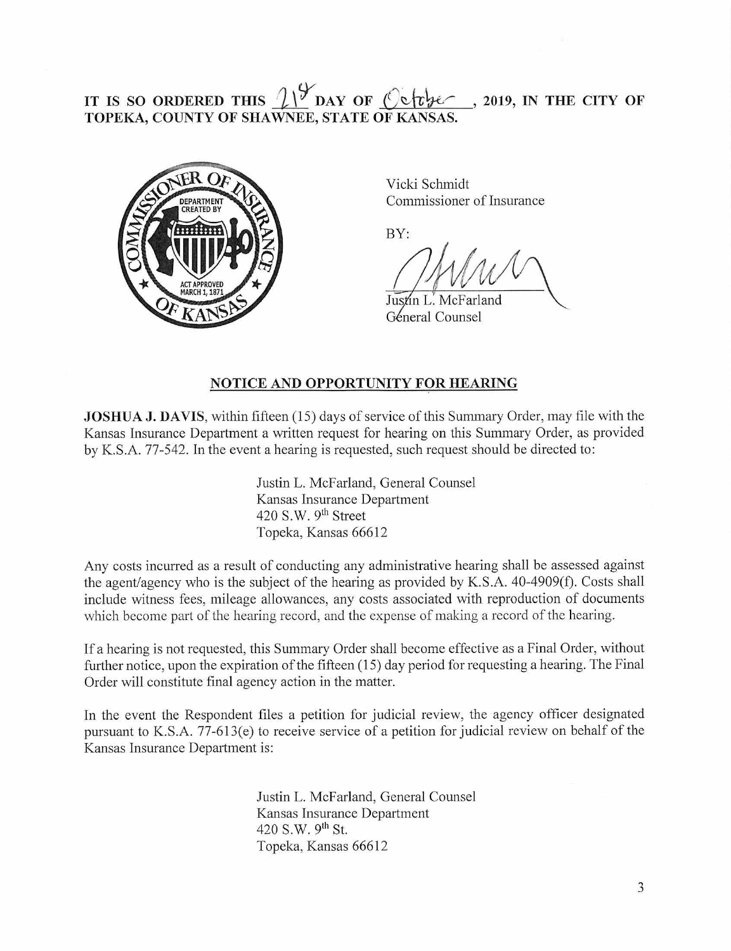# **IT IS SO ORDERED THIS**  $\frac{19}{21}$  **DAY OF**  $\frac{6}{10}$  $\frac{1}{20}$ **,** 2019, IN THE CITY OF TOPEKA, COUNTY OF SHAWNEE, STATE OF KANSAS.



Vicki Schmidt Commissioner of Insurance

BY:

Justin L. McFarland Géneral Counsel

#### **NOTICE AND OPPORTUNITY FOR HEARING**

**JOSHUA J. DAVIS,** within fifteen (15) days of service of this Summary Order, may file with the Kansas Insurance Department a written request for hearing on this Summary Order, as provided by K.S.A. 77-542. In the event a hearing is requested, such request should be directed to:

> Justin L. McFarland, General Counsel Kansas Insurance Department 420 S.W.  $9<sup>th</sup>$  Street Topeka, Kansas 66612

Any costs incurred as a result of conducting any administrative hearing shall be assessed against the agent/agency who is the subject of the hearing as provided by K.S.A.  $40-4909(f)$ . Costs shall include witness fees, mileage allowances, any costs associated with reproduction of documents which become part of the hearing record, and the expense of making a record of the hearing.

If a hearing is not requested, this Summary Order shall become effective as a Final Order, without further notice, upon the expiration of the fifteen (15) day period for requesting a hearing. The Final Order will constitute final agency action in the matter.

In the event the Respondent files a petition for judicial review, the agency officer designated pursuant to K.S.A. 77-613(e) to receive service of a petition for judicial review on behalf of the Kansas Insurance Department is:

> Justin L. McFarland, General Counsel Kansas Insurance Department 420 S.W. 9<sup>th</sup> St. Topeka, Kansas 66612